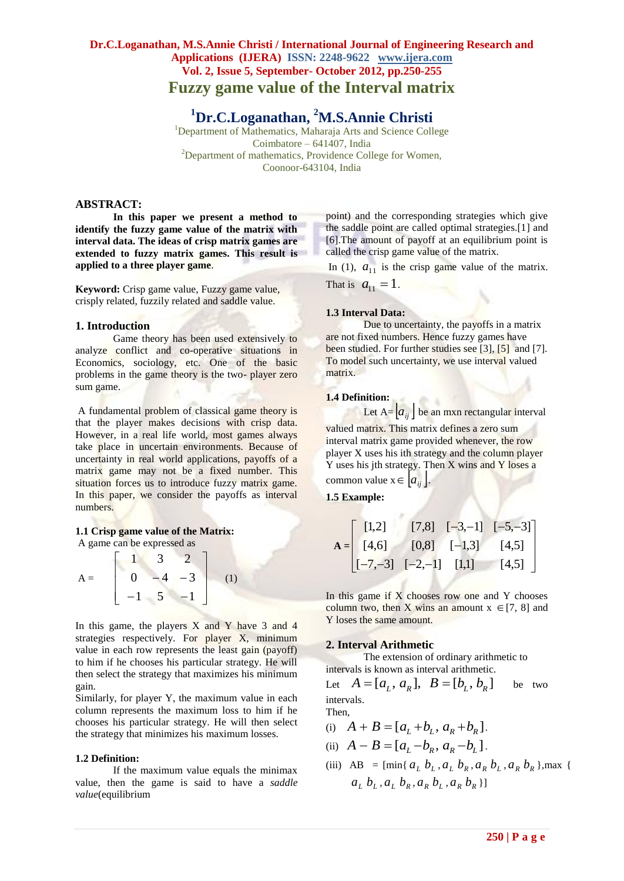# **Dr.C.Loganathan, M.S.Annie Christi / International Journal of Engineering Research and Applications (IJERA) ISSN: 2248-9622 www.ijera.com Vol. 2, Issue 5, September- October 2012, pp.250-255 Fuzzy game value of the Interval matrix**

**<sup>1</sup>Dr.C.Loganathan, <sup>2</sup>M.S.Annie Christi**

<sup>1</sup>Department of Mathematics, Maharaja Arts and Science College Coimbatore – 641407, India <sup>2</sup>Department of mathematics, Providence College for Women, Coonoor-643104, India

## **ABSTRACT:**

**In this paper we present a method to identify the fuzzy game value of the matrix with interval data. The ideas of crisp matrix games are extended to fuzzy matrix games. This result is applied to a three player game**.

**Keyword:** Crisp game value, Fuzzy game value, crisply related, fuzzily related and saddle value.

## **1. Introduction**

Game theory has been used extensively to analyze conflict and co-operative situations in Economics, sociology, etc. One of the basic problems in the game theory is the two- player zero sum game.

A fundamental problem of classical game theory is that the player makes decisions with crisp data. However, in a real life world, most games always take place in uncertain environments. Because of uncertainty in real world applications, payoffs of a matrix game may not be a fixed number. This situation forces us to introduce fuzzy matrix game. In this paper, we consider the payoffs as interval numbers.

### **1.1 Crisp game value of the Matrix:** A game can be expressed as

$$
A = \begin{bmatrix} 1 & 3 & 2 \\ 0 & -4 & -3 \\ -1 & 5 & -1 \end{bmatrix}
$$
 (1)

In this game, the players  $X$  and  $Y$  have 3 and 4 strategies respectively. For player X, minimum value in each row represents the least gain (payoff) to him if he chooses his particular strategy. He will then select the strategy that maximizes his minimum gain.

Similarly, for player Y, the maximum value in each column represents the maximum loss to him if he chooses his particular strategy. He will then select the strategy that minimizes his maximum losses.

### **1.2 Definition:**

If the maximum value equals the minimax value, then the game is said to have a *saddle value*(equilibrium

point) and the corresponding strategies which give the saddle point are called optimal strategies.[1] and [6].The amount of payoff at an equilibrium point is called the crisp game value of the matrix.

In (1),  $a_{11}$  is the crisp game value of the matrix.

That is  $a_{11} = 1$ .

## **1.3 Interval Data:**

Due to uncertainty, the payoffs in a matrix are not fixed numbers. Hence fuzzy games have been studied. For further studies see [3], [5] and [7]. To model such uncertainty, we use interval valued matrix.

## **1.4 Definition:**

Let  $A = [a_{ij}]$  be an mxn rectangular interval valued matrix. This matrix defines a zero sum interval matrix game provided whenever, the row player X uses his ith strategy and the column player Y uses his jth strategy. Then X wins and Y loses a common value  $x \in [a_{ij}]$ .

**1.5 Example:**

$$
\mathbf{A} = \begin{bmatrix} [1,2] & [7,8] & [-3,-1] & [-5,-3] \\ [4,6] & [0,8] & [-1,3] & [4,5] \\ [-7,-3] & [-2,-1] & [1,1] & [4,5] \end{bmatrix}
$$

In this game if X chooses row one and Y chooses column two, then X wins an amount  $x \in [7, 8]$  and Y loses the same amount.

### **2. Interval Arithmetic**

The extension of ordinary arithmetic to intervals is known as interval arithmetic.

intervals is known as interval arithmetic<br>Let  $A = [a_L, a_R]$ ,  $B = [b_L, b_R]$ be two intervals. Then,

Then,  
(i) 
$$
A + B = [a_L + b_L, a_R + b_R].
$$

- (i)  $A + B = [a_L + b_L, a_R + b_R].$ <br>
(ii)  $A B = [a_L b_R, a_R b_L].$
- (iii) AB =  $[\min\{a_L b_L, a_L b_R, a_R b_L, a_R b_R\}]$ , max {  $a_{L}$   $b_{L}$  ,  $a_{L}$   $b_{R}$  ,  $a_{R}$   $b_{L}$  ,  $a_{R}$   $b_{R}$  }]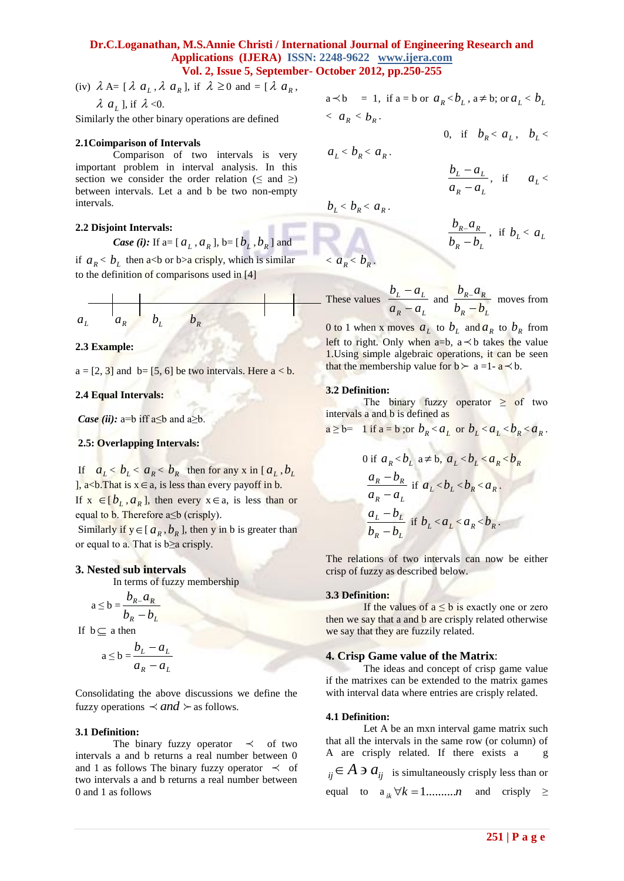(iv)  $\lambda A = [\lambda a_L, \lambda a_R], \text{ if } \lambda \ge 0 \text{ and } = [\lambda a_R, \lambda A_R]$  $\lambda$   $a$ <sub>L</sub>], if  $\lambda$  <0.

Similarly the other binary operations are defined

#### **2.1Coimparison of Intervals**

Comparison of two intervals is very important problem in interval analysis. In this section we consider the order relation ( $\leq$  and  $\geq$ ) between intervals. Let a and b be two non-empty intervals.

### **2.2 Disjoint Intervals:**

**Case (i):** If 
$$
a = [a_L, a_R]
$$
,  $b = [b_L, b_R]$  and

if  $a_R < b_L$  then a<br/>b or b>a crisply, which is similar to the definition of comparisons used in [4]

$$
a_{L} \qquad a_{R} \qquad b_{L} \qquad b_{R}
$$

#### **2.3 Example:**

 $a = [2, 3]$  and  $b = [5, 6]$  be two intervals. Here  $a < b$ .

#### **2.4 Equal Intervals:**

*Case (ii):* a=b iff  $a \leq b$  and  $a \geq b$ .

### **2.5: Overlapping Intervals:**

If  $a_L < b_L < a_R < b_R$  then for any x in [ $a_L$ ,  $b_L$ ],  $a < b$ . That is  $x \in a$ , is less than every payoff in b. If  $x \in [b_L, a_R]$ , then every  $x \in a$ , is less than or equal to b. Therefore a≤b (crisply).

Similarly if  $y \in [a_R, b_R]$ , then y in b is greater than or equal to a. That is  $b \ge a$  crisply.

#### **3. Nested sub intervals**

In terms of fuzzy membership

$$
a \le b = \frac{b_R a_R}{b_R - b_L}
$$

If  $b \subseteq a$  then

$$
a \le b = \frac{b_L - a_L}{a_R - a_L}
$$

Consolidating the above discussions we define the fuzzy operations  $\prec$  *and*  $\succ$  as follows.

#### **3.1 Definition:**

The binary fuzzy operator  $\prec$  of two intervals a and b returns a real number between 0 and 1 as follows The binary fuzzy operator  $\prec$  of two intervals a and b returns a real number between 0 and 1 as follows

$$
a \prec b = 1, \text{ if } a = b \text{ or } a_R < b_L, a \neq b; \text{ or } a_L < b_L
$$
\n
$$
\langle a_R < b_R.
$$
\n
$$
0, \text{ if } b_R < a_L, b_L < b_R
$$

$$
a_L < b_R < a_R.
$$

$$
b_L < b_R < a_R \, .
$$

 $\langle a_R \rangle \langle b_R \rangle$ 

$$
\frac{b_{R-}a_R}{b_R-b_L}
$$
, if  $b_L < a_L$ 

 $\frac{-a_L}{a}$ , if  $a_L$ 

*R*  $\mu_L$  $L$   $u_L$  $a_R - a$  $b<sub>L</sub> - a$  $\overline{a}$ 

These values *R*  $\mu_L$ *L L*  $a_R - a$  $b_{\scriptscriptstyle L}$  – a ۹  $\frac{-a_L}{a}$  and  $R$   $U_L$  $R - u_R$  $b_{R}$  –  $b$  $b_{R}$  $a$ ä  $\frac{-u_R}{\sigma}$  moves from

0 to 1 when x moves  $a_L$  to  $b_L$  and  $a_R$  to  $b_R$  from left to right. Only when  $a=b$ ,  $a \prec b$  takes the value 1.Using simple algebraic operations, it can be seen that the membership value for  $b \succ a = 1 - a \prec b$ .

#### **3.2 Definition:**

The binary fuzzy operator  $\geq$  of two intervals a and b is defined as

$$
a \ge b = 1 \text{ if } a = b \text{; or } b_R < a_L \text{ or } b_L < a_L < b_R < a_R \, .
$$

0 if 
$$
a_R < b_L
$$
 a $\neq$  b,  $a_L < b_L < a_R < b_R$   
\n
$$
\frac{a_R - b_R}{a_R - a_L}
$$
 if  $a_L < b_L < b_R < a_R$ .  
\n
$$
\frac{a_L - b_L}{b_R - b_L}
$$
 if  $b_L < a_L < a_R < b_R$ .

The relations of two intervals can now be either crisp of fuzzy as described below.

#### **3.3 Definition:**

If the values of  $a \leq b$  is exactly one or zero then we say that a and b are crisply related otherwise we say that they are fuzzily related.

#### **4. Crisp Game value of the Matrix**:

The ideas and concept of crisp game value if the matrixes can be extended to the matrix games with interval data where entries are crisply related.

#### **4.1 Definition:**

Let A be an mxn interval game matrix such that all the intervals in the same row (or column) of A are crisply related. If there exists a g  $a_{ij} \in A \ni a_{ij}$  is simultaneously crisply less than or equal to  $a_{ik} \forall k = 1$ ..........*n* and crisply ≥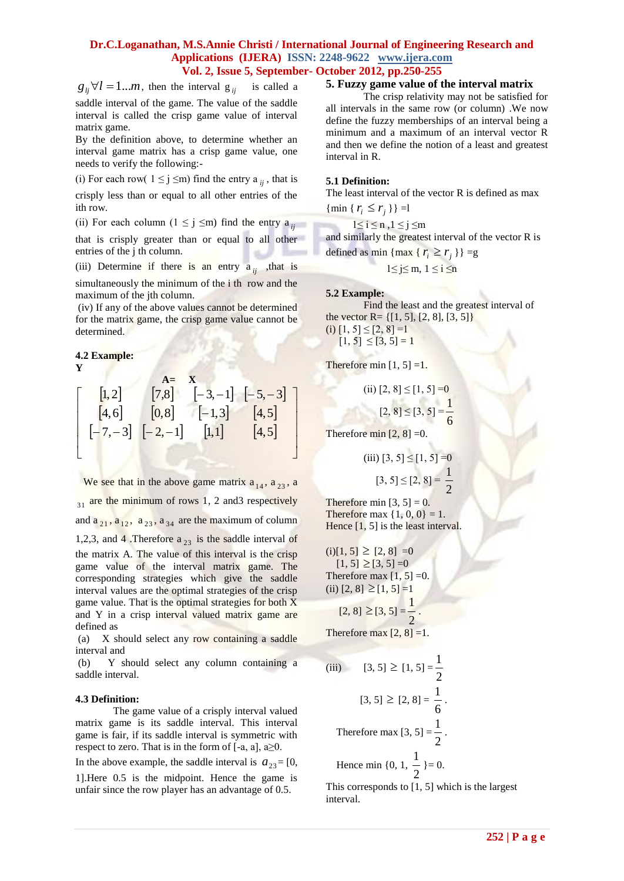$g_{ij} \forall l = 1...m$ , then the interval  $g_{ij}$  is called a saddle interval of the game. The value of the saddle interval is called the crisp game value of interval matrix game.

By the definition above, to determine whether an interval game matrix has a crisp game value, one needs to verify the following:-

(i) For each row(  $1 \le j \le m$ ) find the entry a  $_{ij}$ , that is

crisply less than or equal to all other entries of the ith row.

(ii) For each column  $(1 \le j \le m)$  find the entry a<sub>*ij*</sub>

that is crisply greater than or equal to all other entries of the j th column.

(iii) Determine if there is an entry  $a_{ij}$ , that is

simultaneously the minimum of the i th row and the maximum of the jth column.

(iv) If any of the above values cannot be determined for the matrix game, the crisp game value cannot be determined.

#### **4.2 Example: Y**

$$
\begin{bmatrix}\n1,2 & 7,8 & -3, -1 & -5, -3 \\
4,6 & 0,8 & -1,3 & 4,5 \\
-7,-3 & -2, -1 & 0 & 4,5\n\end{bmatrix}
$$

25  $\times$  12 = 1.... Then the interval g is is called a **Example with give gives**  $\frac{1}{2}$  (1.8)  $\frac{1}{2}$  (1.8)  $\frac{1}{2}$  (1.8)  $\frac{1}{2}$  (1.8)  $\frac{1}{2}$  (1.8)  $\frac{1}{2}$  (1.8)  $\frac{1}{2}$  (1.8)  $\frac{1}{2}$  (1.8)  $\frac{1}{2}$  (1. We see that in the above game matrix  $a_{14}$ ,  $a_{23}$ , a  $_{31}$  are the minimum of rows 1, 2 and3 respectively and  $a_{21}$ ,  $a_{12}$ ,  $a_{23}$ ,  $a_{34}$  are the maximum of column 1,2,3, and 4. Therefore  $a_{23}$  is the saddle interval of the matrix A. The value of this interval is the crisp game value of the interval matrix game. The corresponding strategies which give the saddle

interval values are the optimal strategies of the crisp game value. That is the optimal strategies for both X and Y in a crisp interval valued matrix game are defined as

(a) X should select any row containing a saddle interval and

(b) Y should select any column containing a saddle interval.

## **4.3 Definition:**

The game value of a crisply interval valued matrix game is its saddle interval. This interval game is fair, if its saddle interval is symmetric with respect to zero. That is in the form of  $[-a, a], a \ge 0$ .

In the above example, the saddle interval is  $a_{23} = [0, 1]$ 

1].Here 0.5 is the midpoint. Hence the game is unfair since the row player has an advantage of 0.5.

## **5. Fuzzy game value of the interval matrix**

The crisp relativity may not be satisfied for all intervals in the same row (or column) .We now define the fuzzy memberships of an interval being a minimum and a maximum of an interval vector R and then we define the notion of a least and greatest interval in R.

### **5.1 Definition:**

The least interval of the vector R is defined as max

{ $\min \{ r_i \leq r_j \}$ } =l

1≤ i ≤ n ,1 ≤ j ≤m and similarly the greatest interval of the vector R is

defined as min {max { 
$$
r_i \ge r_j
$$
 } } = g

$$
1 \le j \le m, \ 1 \le i \le n
$$

**5.2 Example:**

Find the least and the greatest interval of the vector R=  $\{[1, 5], [2, 8], [3, 5]\}$ (i)  $[1, 5] \leq [2, 8] = 1$  $[1, 5] \leq [3, 5] = 1$ 

Therefore min  $[1, 5] = 1$ .

(ii) 
$$
[2, 8] \le [1, 5] = 0
$$
  
 $[2, 8] \le [3, 5] = \frac{1}{6}$ 

Therefore min  $[2, 8] = 0$ .

(iii)  $[3, 5] \leq [1, 5] = 0$  $[3, 5] \leq [2, 8] =$ 2 1

Therefore min  $[3, 5] = 0$ . Therefore max  $\{1, 0, 0\} = 1$ . Hence [1, 5] is the least interval.

 $(i)[1, 5] \geq [2, 8] = 0$  $[1, 5] \geq [3, 5] = 0$ Therefore max  $[1, 5] = 0$ .  $(ii)$  [2, 8]  $\geq$  [1, 5] =1 11

$$
[2,8] \geq [3,5] = \frac{1}{2}.
$$

Therefore max  $[2, 8] = 1$ .

(iii) 
$$
[3, 5] \ge [1, 5] = \frac{1}{2}
$$
  
\n $[3, 5] \ge [2, 8] = \frac{1}{6}$ .  
\nTherefore max [3, 5] =  $\frac{1}{2}$ .  
\nHence min {0, 1,  $\frac{1}{2}$ } = 0.

This corresponds to [1, 5] which is the largest interval.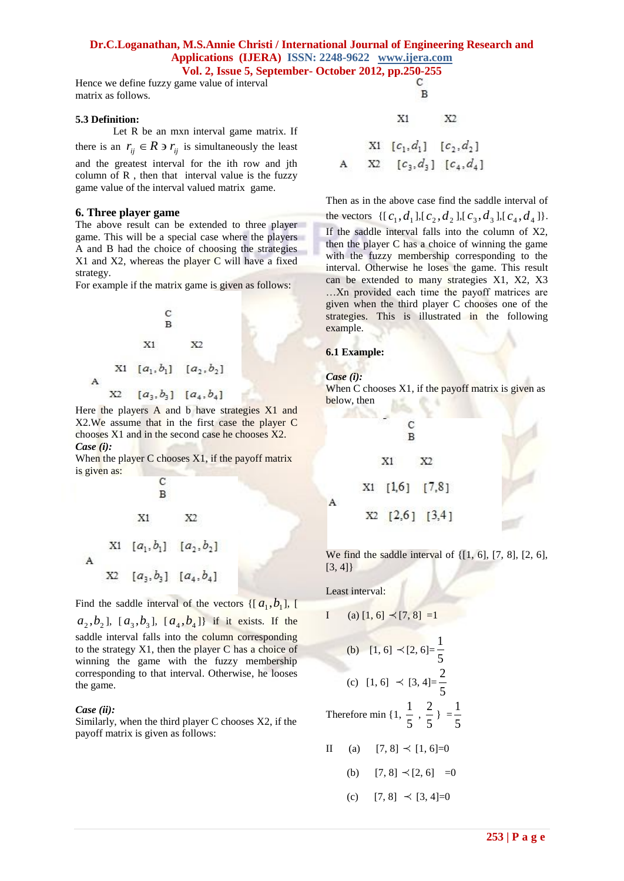Hence we define fuzzy game value of interval matrix as follows.

### **5.3 Definition:**

Let R be an mxn interval game matrix. If there is an  $r_{ij} \in R \ni r_{ij}$  is simultaneously the least and the greatest interval for the ith row and jth column of R , then that interval value is the fuzzy game value of the interval valued matrix game.

## **6. Three player game**

The above result can be extended to three player game. This will be a special case where the players A and B had the choice of choosing the strategies X1 and X2, whereas the player C will have a fixed strategy.

For example if the matrix game is given as follows:

Here the players A and b have strategies X1 and X2.We assume that in the first case the player C chooses X1 and in the second case he chooses X2. *Case (i):*

When the player C chooses  $X1$ , if the payoff matrix is given as:

C B  $X1$ X2 X1  $[a_1, b_1]$   $[a_2, b_2]$ X2  $[a_3, b_3]$   $[a_4, b_4]$ 

Find the saddle interval of the vectors  $\{[a_1, b_1], [b_2, b_3]\}$  $a_2, b_2$ ],  $[a_3, b_3]$ ,  $[a_4, b_4]$ } if it exists. If the saddle interval falls into the column corresponding to the strategy X1, then the player C has a choice of winning the game with the fuzzy membership corresponding to that interval. Otherwise, he looses the game.

### *Case (ii):*

 $\mathbf{A}$ 

Similarly, when the third player C chooses X2, if the payoff matrix is given as follows:

$$
\begin{array}{cccc}\n\text{Doer } 2012, \text{ pp.}250-255 \\
\text{C} \\
\text{B} \\
\text{X1} & \text{X2} \\
\text{X1} & [c_1, d_1] & [c_2, d_2] \\
\text{A} & \text{X2} & [c_3, d_3] & [c_4, d_4]\n\end{array}
$$

Then as in the above case find the saddle interval of the vectors  $\{ [c_1, d_1], [c_2, d_2], [c_3, d_3], [c_4, d_4] \}.$ If the saddle interval falls into the column of X2, then the player C has a choice of winning the game with the fuzzy membership corresponding to the interval. Otherwise he loses the game. This result can be extended to many strategies X1, X2, X3 …Xn provided each time the payoff matrices are given when the third player C chooses one of the strategies. This is illustrated in the following example.

### **6.1 Example:**

*Case (i):*

 $\mathbf{A}$ 

When C chooses  $X1$ , if the payoff matrix is given as below, then

$$
\begin{array}{c}\nC \\
B \\
X1\n\end{array}
$$
\n
$$
X1 \quad X2
$$
\n
$$
X1 \quad [1,6] \quad [7,8]
$$
\n
$$
X2 \quad [2,6] \quad [3,4]
$$

We find the saddle interval of  $\{[1, 6], [7, 8], [2, 6],\}$ [3, 4]}

Least interval:

I (a) 
$$
[1, 6] \prec [7, 8] =1
$$

(b) 
$$
[1, 6] \prec [2, 6] = \frac{1}{5}
$$
  
(c)  $[1, 6] \prec [3, 4] = \frac{2}{5}$ 

5 Therefore min {1, 5  $\frac{1}{2}$ , 5  $\frac{2}{2}$  = 5 1

$$
II \quad (a) \quad [7,8] \prec [1,6] = 0
$$

(b)  $[7, 8] \prec [2, 6] = 0$ 

(c) 
$$
[7, 8] \prec [3, 4] = 0
$$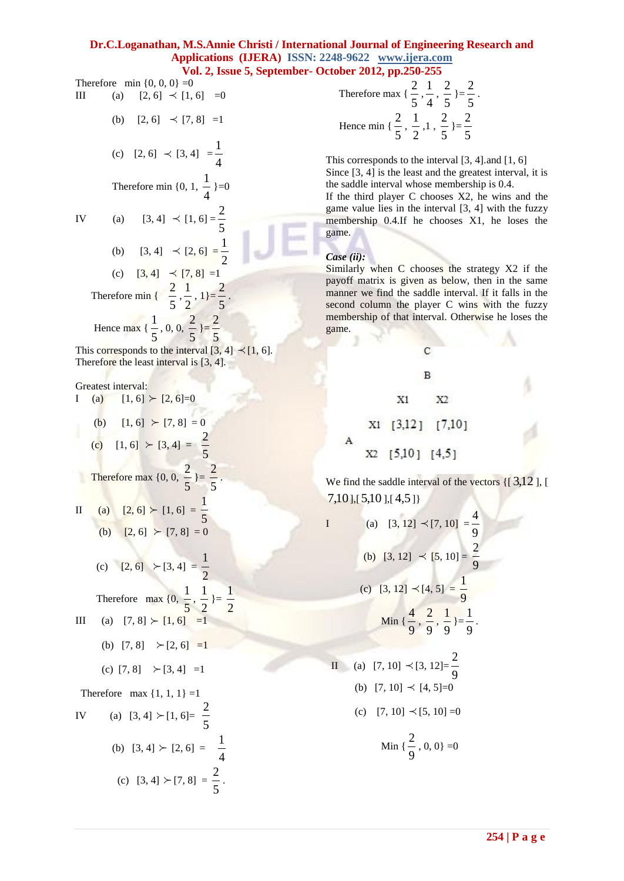Therefore min  $\{0, 0, 0\} = 0$ III (a)  $[2, 6] \prec [1, 6] = 0$ (b)  $[2, 6] \prec [7, 8] =1$ (c)  $[2, 6] \prec [3, 4] =$ 4 1 Therefore min {0, 1, 4  $\frac{1}{1}$  }=0 IV (a)  $[3, 4] \prec [1, 6] =$ 5 2 (b)  $[3, 4] \prec [2, 6] =$ 2 1 (c)  $[3, 4] \prec [7, 8] = 1$  Therefore min { 5  $\frac{2}{2}$ 2  $\frac{1}{2}$ , 1}= 5  $\frac{2}{2}$ . Hence max { 5  $\frac{1}{2}$ , 0, 0, 5  $\frac{2}{2}$  }= 5 2 This corresponds to the interval  $[3, 4] \prec [1, 6]$ . Therefore the least interval is [3, 4]. Greatest interval: I (a)  $[1, 6] \succ [2, 6] = 0$ (b)  $[1, 6] \succ [7, 8] = 0$ (c)  $[1, 6] \succ [3, 4] =$ 5 2 Therefore max  $\{0, 0, \ldots\}$ 5  $\frac{2}{2}$  }= 5 2 . II (a)  $[2, 6] \succ [1, 6] = \frac{1}{6}$ 5 (b)  $[2, 6] \succ [7, 8] = 0$ (c)  $[2, 6] \succ [3, 4] =$ 2 1 Therefore max {0, 5  $\frac{1}{2}$ , 2  $\frac{1}{2}$  = 2 1 III (a)  $[7, 8] \succ [1, 6] =1$ (b)  $[7, 8] \rightarrow [2, 6] =1$ (c)  $[7, 8] \rightarrow [3, 4] =1$ Therefore max  $\{1, 1, 1\} = 1$ IV (a)  $[3, 4] \succ [1, 6] =$ 5 2 (b)  $[3, 4] \succ [2, 6] =$ 4 1 (c)  $[3, 4] \succ [7, 8] =$ 5  $\frac{2}{2}$ .

Therefore max 
$$
\{\frac{2}{5}, \frac{1}{4}, \frac{2}{5}\}=\frac{2}{5}
$$
.  
Hence min  $\{\frac{2}{5}, \frac{1}{2}, 1, \frac{2}{5}\}=\frac{2}{5}$ 

This corresponds to the interval [3, 4].and [1, 6] Since [3, 4] is the least and the greatest interval, it is the saddle interval whose membership is 0.4.

If the third player C chooses X2, he wins and the game value lies in the interval [3, 4] with the fuzzy membership 0.4.If he chooses X1, he loses the game.

## *Case (ii):*

Similarly when C chooses the strategy X2 if the payoff matrix is given as below, then in the same manner we find the saddle interval. If it falls in the second column the player C wins with the fuzzy membership of that interval. Otherwise he loses the game.

$$
C
$$
\nB\nX1 X2\nX2\nX1 [3,12] [7,10]\nA\nX2 [5,10] [4,5]

We find the saddle interval of the vectors  $\{$ [3,12], [ 7,10 ],[ 5,10 ],[ 4,5 ]}

I  
\n(a) 
$$
[3, 12] \prec [7, 10] = \frac{4}{9}
$$
  
\n(b)  $[3, 12] \prec [5, 10] = \frac{2}{9}$   
\n(c)  $[3, 12] \prec [4, 5] = \frac{1}{9}$   
\nMin  $\{\frac{4}{9}, \frac{2}{9}, \frac{1}{9}\} = \frac{1}{9}$ .  
\nII  
\n(a)  $[7, 10] \prec [3, 12] = \frac{2}{9}$   
\n(b)  $[7, 10] \prec [4, 5] = 0$   
\n(c)  $[7, 10] \prec [5, 10] = 0$   
\nMin  $\{\frac{2}{9}, 0, 0\} = 0$